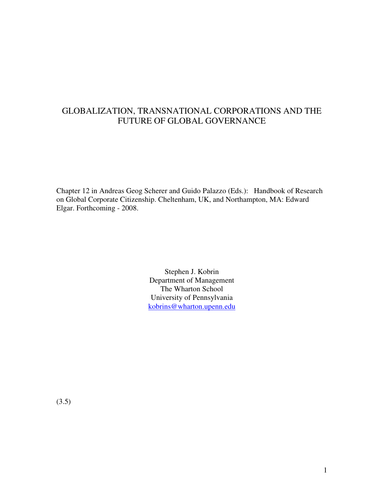# GLOBALIZATION, TRANSNATIONAL CORPORATIONS AND THE FUTURE OF GLOBAL GOVERNANCE

Chapter 12 in Andreas Geog Scherer and Guido Palazzo (Eds.): Handbook of Research on Global Corporate Citizenship. Cheltenham, UK, and Northampton, MA: Edward Elgar. Forthcoming - 2008.

> Stephen J. Kobrin Department of Management The Wharton School University of Pennsylvania kobrins@wharton.upenn.edu

 $(3.5)$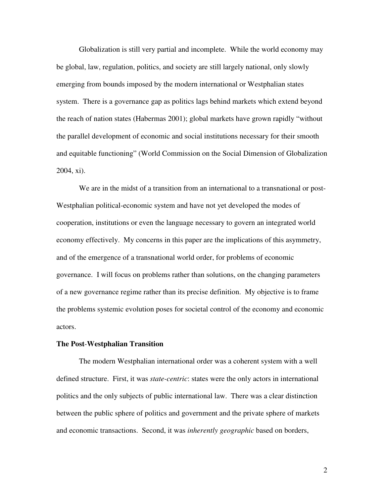Globalization is still very partial and incomplete. While the world economy may be global, law, regulation, politics, and society are still largely national, only slowly emerging from bounds imposed by the modern international or Westphalian states system. There is a governance gap as politics lags behind markets which extend beyond the reach of nation states (Habermas 2001); global markets have grown rapidly "without the parallel development of economic and social institutions necessary for their smooth and equitable functioning" (World Commission on the Social Dimension of Globalization 2004, xi).

 We are in the midst of a transition from an international to a transnational or post-Westphalian political-economic system and have not yet developed the modes of cooperation, institutions or even the language necessary to govern an integrated world economy effectively. My concerns in this paper are the implications of this asymmetry, and of the emergence of a transnational world order, for problems of economic governance. I will focus on problems rather than solutions, on the changing parameters of a new governance regime rather than its precise definition. My objective is to frame the problems systemic evolution poses for societal control of the economy and economic actors.

#### **The Post**-**Westphalian Transition**

 The modern Westphalian international order was a coherent system with a well defined structure. First, it was *state-centric*: states were the only actors in international politics and the only subjects of public international law. There was a clear distinction between the public sphere of politics and government and the private sphere of markets and economic transactions. Second, it was *inherently geographic* based on borders,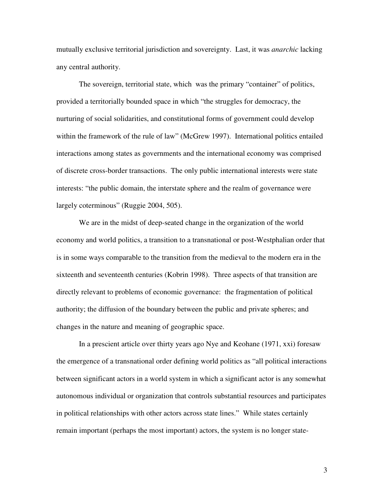mutually exclusive territorial jurisdiction and sovereignty. Last, it was *anarchic* lacking any central authority.

 The sovereign, territorial state, which was the primary "container" of politics, provided a territorially bounded space in which "the struggles for democracy, the nurturing of social solidarities, and constitutional forms of government could develop within the framework of the rule of law" (McGrew 1997). International politics entailed interactions among states as governments and the international economy was comprised of discrete cross-border transactions. The only public international interests were state interests: "the public domain, the interstate sphere and the realm of governance were largely coterminous" (Ruggie 2004, 505).

 We are in the midst of deep-seated change in the organization of the world economy and world politics, a transition to a transnational or post-Westphalian order that is in some ways comparable to the transition from the medieval to the modern era in the sixteenth and seventeenth centuries (Kobrin 1998). Three aspects of that transition are directly relevant to problems of economic governance: the fragmentation of political authority; the diffusion of the boundary between the public and private spheres; and changes in the nature and meaning of geographic space.

 In a prescient article over thirty years ago Nye and Keohane (1971, xxi) foresaw the emergence of a transnational order defining world politics as "all political interactions between significant actors in a world system in which a significant actor is any somewhat autonomous individual or organization that controls substantial resources and participates in political relationships with other actors across state lines." While states certainly remain important (perhaps the most important) actors, the system is no longer state-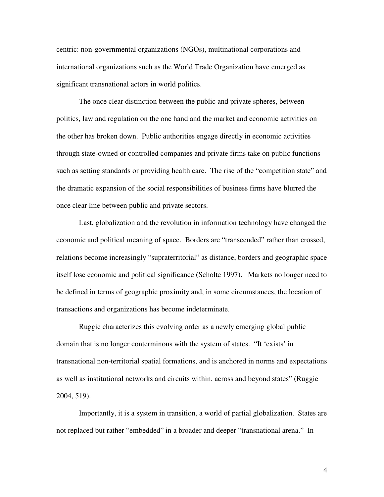centric: non-governmental organizations (NGOs), multinational corporations and international organizations such as the World Trade Organization have emerged as significant transnational actors in world politics.

 The once clear distinction between the public and private spheres, between politics, law and regulation on the one hand and the market and economic activities on the other has broken down. Public authorities engage directly in economic activities through state-owned or controlled companies and private firms take on public functions such as setting standards or providing health care. The rise of the "competition state" and the dramatic expansion of the social responsibilities of business firms have blurred the once clear line between public and private sectors.

 Last, globalization and the revolution in information technology have changed the economic and political meaning of space. Borders are "transcended" rather than crossed, relations become increasingly "supraterritorial" as distance, borders and geographic space itself lose economic and political significance (Scholte 1997). Markets no longer need to be defined in terms of geographic proximity and, in some circumstances, the location of transactions and organizations has become indeterminate.

 Ruggie characterizes this evolving order as a newly emerging global public domain that is no longer conterminous with the system of states. "It 'exists' in transnational non-territorial spatial formations, and is anchored in norms and expectations as well as institutional networks and circuits within, across and beyond states" (Ruggie 2004, 519).

 Importantly, it is a system in transition, a world of partial globalization. States are not replaced but rather "embedded" in a broader and deeper "transnational arena." In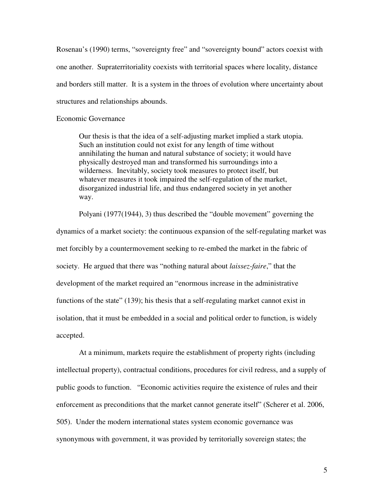Rosenau's (1990) terms, "sovereignty free" and "sovereignty bound" actors coexist with one another. Supraterritoriality coexists with territorial spaces where locality, distance and borders still matter. It is a system in the throes of evolution where uncertainty about structures and relationships abounds.

#### Economic Governance

Our thesis is that the idea of a self-adjusting market implied a stark utopia. Such an institution could not exist for any length of time without annihilating the human and natural substance of society; it would have physically destroyed man and transformed his surroundings into a wilderness. Inevitably, society took measures to protect itself, but whatever measures it took impaired the self-regulation of the market, disorganized industrial life, and thus endangered society in yet another way.

 Polyani (1977(1944), 3) thus described the "double movement" governing the dynamics of a market society: the continuous expansion of the self-regulating market was met forcibly by a countermovement seeking to re-embed the market in the fabric of society. He argued that there was "nothing natural about *laissez-faire*," that the development of the market required an "enormous increase in the administrative functions of the state" (139); his thesis that a self-regulating market cannot exist in isolation, that it must be embedded in a social and political order to function, is widely accepted.

 At a minimum, markets require the establishment of property rights (including intellectual property), contractual conditions, procedures for civil redress, and a supply of public goods to function. "Economic activities require the existence of rules and their enforcement as preconditions that the market cannot generate itself" (Scherer et al. 2006, 505). Under the modern international states system economic governance was synonymous with government, it was provided by territorially sovereign states; the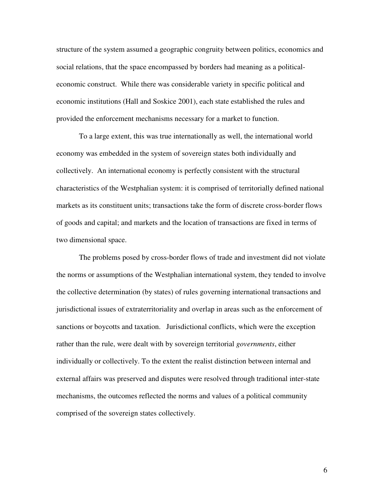structure of the system assumed a geographic congruity between politics, economics and social relations, that the space encompassed by borders had meaning as a politicaleconomic construct. While there was considerable variety in specific political and economic institutions (Hall and Soskice 2001), each state established the rules and provided the enforcement mechanisms necessary for a market to function.

 To a large extent, this was true internationally as well, the international world economy was embedded in the system of sovereign states both individually and collectively. An international economy is perfectly consistent with the structural characteristics of the Westphalian system: it is comprised of territorially defined national markets as its constituent units; transactions take the form of discrete cross-border flows of goods and capital; and markets and the location of transactions are fixed in terms of two dimensional space.

 The problems posed by cross-border flows of trade and investment did not violate the norms or assumptions of the Westphalian international system, they tended to involve the collective determination (by states) of rules governing international transactions and jurisdictional issues of extraterritoriality and overlap in areas such as the enforcement of sanctions or boycotts and taxation. Jurisdictional conflicts, which were the exception rather than the rule, were dealt with by sovereign territorial *governments*, either individually or collectively. To the extent the realist distinction between internal and external affairs was preserved and disputes were resolved through traditional inter-state mechanisms, the outcomes reflected the norms and values of a political community comprised of the sovereign states collectively.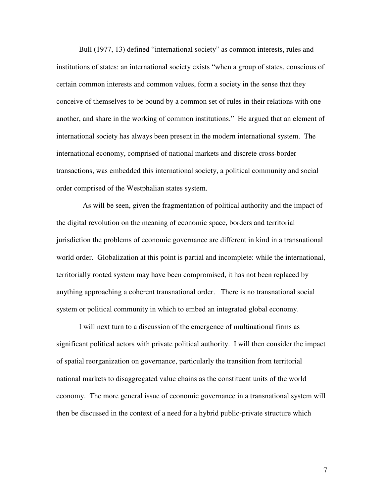Bull (1977, 13) defined "international society" as common interests, rules and institutions of states: an international society exists "when a group of states, conscious of certain common interests and common values, form a society in the sense that they conceive of themselves to be bound by a common set of rules in their relations with one another, and share in the working of common institutions." He argued that an element of international society has always been present in the modern international system. The international economy, comprised of national markets and discrete cross-border transactions, was embedded this international society, a political community and social order comprised of the Westphalian states system.

 As will be seen, given the fragmentation of political authority and the impact of the digital revolution on the meaning of economic space, borders and territorial jurisdiction the problems of economic governance are different in kind in a transnational world order. Globalization at this point is partial and incomplete: while the international, territorially rooted system may have been compromised, it has not been replaced by anything approaching a coherent transnational order. There is no transnational social system or political community in which to embed an integrated global economy.

 I will next turn to a discussion of the emergence of multinational firms as significant political actors with private political authority. I will then consider the impact of spatial reorganization on governance, particularly the transition from territorial national markets to disaggregated value chains as the constituent units of the world economy. The more general issue of economic governance in a transnational system will then be discussed in the context of a need for a hybrid public-private structure which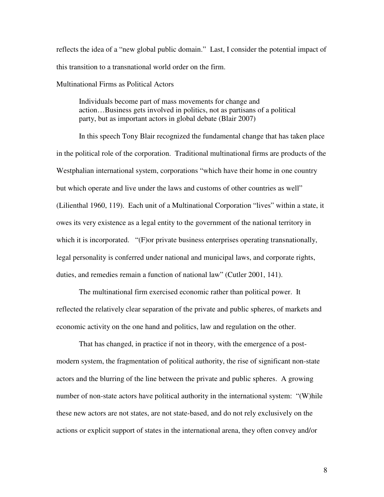reflects the idea of a "new global public domain." Last, I consider the potential impact of this transition to a transnational world order on the firm.

#### Multinational Firms as Political Actors

Individuals become part of mass movements for change and action…Business gets involved in politics, not as partisans of a political party, but as important actors in global debate (Blair 2007)

 In this speech Tony Blair recognized the fundamental change that has taken place in the political role of the corporation. Traditional multinational firms are products of the Westphalian international system, corporations "which have their home in one country but which operate and live under the laws and customs of other countries as well" (Lilienthal 1960, 119). Each unit of a Multinational Corporation "lives" within a state, it owes its very existence as a legal entity to the government of the national territory in which it is incorporated. "(F) or private business enterprises operating transnationally, legal personality is conferred under national and municipal laws, and corporate rights, duties, and remedies remain a function of national law" (Cutler 2001, 141).

 The multinational firm exercised economic rather than political power. It reflected the relatively clear separation of the private and public spheres, of markets and economic activity on the one hand and politics, law and regulation on the other.

 That has changed, in practice if not in theory, with the emergence of a postmodern system, the fragmentation of political authority, the rise of significant non-state actors and the blurring of the line between the private and public spheres. A growing number of non-state actors have political authority in the international system: "(W)hile these new actors are not states, are not state-based, and do not rely exclusively on the actions or explicit support of states in the international arena, they often convey and/or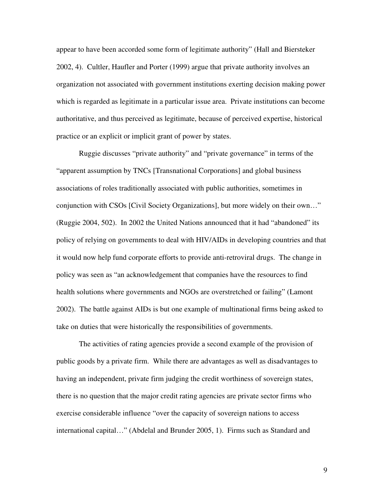appear to have been accorded some form of legitimate authority" (Hall and Biersteker 2002, 4). Cultler, Haufler and Porter (1999) argue that private authority involves an organization not associated with government institutions exerting decision making power which is regarded as legitimate in a particular issue area. Private institutions can become authoritative, and thus perceived as legitimate, because of perceived expertise, historical practice or an explicit or implicit grant of power by states.

 Ruggie discusses "private authority" and "private governance" in terms of the "apparent assumption by TNCs [Transnational Corporations] and global business associations of roles traditionally associated with public authorities, sometimes in conjunction with CSOs [Civil Society Organizations], but more widely on their own…" (Ruggie 2004, 502). In 2002 the United Nations announced that it had "abandoned" its policy of relying on governments to deal with HIV/AIDs in developing countries and that it would now help fund corporate efforts to provide anti-retroviral drugs. The change in policy was seen as "an acknowledgement that companies have the resources to find health solutions where governments and NGOs are overstretched or failing" (Lamont 2002). The battle against AIDs is but one example of multinational firms being asked to take on duties that were historically the responsibilities of governments.

 The activities of rating agencies provide a second example of the provision of public goods by a private firm. While there are advantages as well as disadvantages to having an independent, private firm judging the credit worthiness of sovereign states, there is no question that the major credit rating agencies are private sector firms who exercise considerable influence "over the capacity of sovereign nations to access international capital…" (Abdelal and Brunder 2005, 1). Firms such as Standard and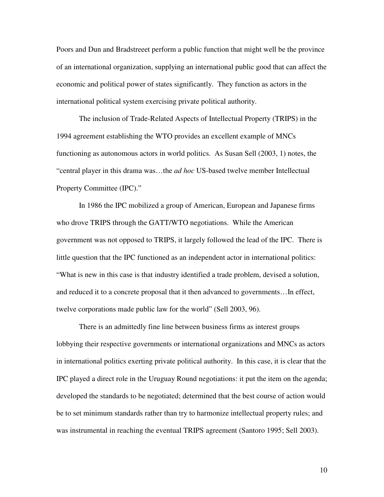Poors and Dun and Bradstreeet perform a public function that might well be the province of an international organization, supplying an international public good that can affect the economic and political power of states significantly. They function as actors in the international political system exercising private political authority.

 The inclusion of Trade-Related Aspects of Intellectual Property (TRIPS) in the 1994 agreement establishing the WTO provides an excellent example of MNCs functioning as autonomous actors in world politics. As Susan Sell (2003, 1) notes, the "central player in this drama was…the *ad hoc* US-based twelve member Intellectual Property Committee (IPC)."

 In 1986 the IPC mobilized a group of American, European and Japanese firms who drove TRIPS through the GATT/WTO negotiations. While the American government was not opposed to TRIPS, it largely followed the lead of the IPC. There is little question that the IPC functioned as an independent actor in international politics: "What is new in this case is that industry identified a trade problem, devised a solution, and reduced it to a concrete proposal that it then advanced to governments…In effect, twelve corporations made public law for the world" (Sell 2003, 96).

 There is an admittedly fine line between business firms as interest groups lobbying their respective governments or international organizations and MNCs as actors in international politics exerting private political authority. In this case, it is clear that the IPC played a direct role in the Uruguay Round negotiations: it put the item on the agenda; developed the standards to be negotiated; determined that the best course of action would be to set minimum standards rather than try to harmonize intellectual property rules; and was instrumental in reaching the eventual TRIPS agreement (Santoro 1995; Sell 2003).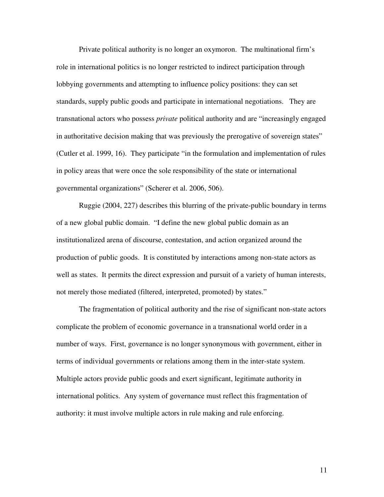Private political authority is no longer an oxymoron. The multinational firm's role in international politics is no longer restricted to indirect participation through lobbying governments and attempting to influence policy positions: they can set standards, supply public goods and participate in international negotiations. They are transnational actors who possess *private* political authority and are "increasingly engaged in authoritative decision making that was previously the prerogative of sovereign states" (Cutler et al. 1999, 16). They participate "in the formulation and implementation of rules in policy areas that were once the sole responsibility of the state or international governmental organizations" (Scherer et al. 2006, 506).

 Ruggie (2004, 227) describes this blurring of the private-public boundary in terms of a new global public domain. "I define the new global public domain as an institutionalized arena of discourse, contestation, and action organized around the production of public goods. It is constituted by interactions among non-state actors as well as states. It permits the direct expression and pursuit of a variety of human interests, not merely those mediated (filtered, interpreted, promoted) by states."

 The fragmentation of political authority and the rise of significant non-state actors complicate the problem of economic governance in a transnational world order in a number of ways. First, governance is no longer synonymous with government, either in terms of individual governments or relations among them in the inter-state system. Multiple actors provide public goods and exert significant, legitimate authority in international politics. Any system of governance must reflect this fragmentation of authority: it must involve multiple actors in rule making and rule enforcing.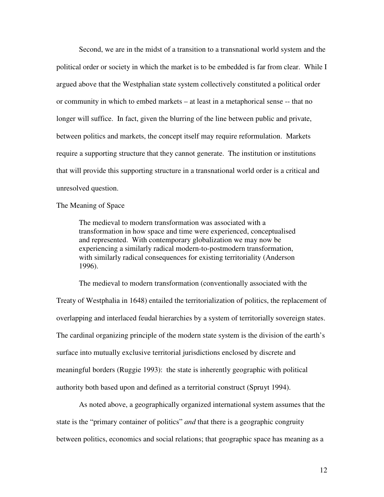Second, we are in the midst of a transition to a transnational world system and the political order or society in which the market is to be embedded is far from clear. While I argued above that the Westphalian state system collectively constituted a political order or community in which to embed markets – at least in a metaphorical sense -- that no longer will suffice. In fact, given the blurring of the line between public and private, between politics and markets, the concept itself may require reformulation. Markets require a supporting structure that they cannot generate. The institution or institutions that will provide this supporting structure in a transnational world order is a critical and unresolved question.

The Meaning of Space

The medieval to modern transformation was associated with a transformation in how space and time were experienced, conceptualised and represented. With contemporary globalization we may now be experiencing a similarly radical modern-to-postmodern transformation, with similarly radical consequences for existing territoriality (Anderson 1996).

 The medieval to modern transformation (conventionally associated with the Treaty of Westphalia in 1648) entailed the territorialization of politics, the replacement of overlapping and interlaced feudal hierarchies by a system of territorially sovereign states. The cardinal organizing principle of the modern state system is the division of the earth's surface into mutually exclusive territorial jurisdictions enclosed by discrete and meaningful borders (Ruggie 1993): the state is inherently geographic with political authority both based upon and defined as a territorial construct (Spruyt 1994).

 As noted above, a geographically organized international system assumes that the state is the "primary container of politics" *and* that there is a geographic congruity between politics, economics and social relations; that geographic space has meaning as a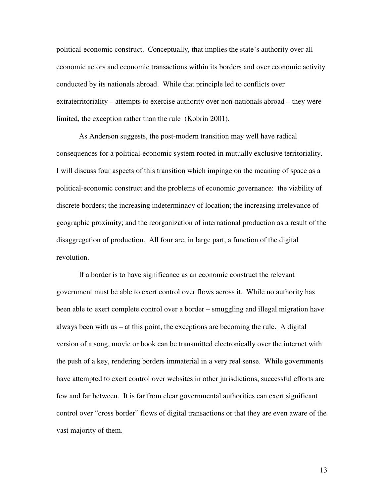political-economic construct. Conceptually, that implies the state's authority over all economic actors and economic transactions within its borders and over economic activity conducted by its nationals abroad. While that principle led to conflicts over extraterritoriality – attempts to exercise authority over non-nationals abroad – they were limited, the exception rather than the rule (Kobrin 2001).

 As Anderson suggests, the post-modern transition may well have radical consequences for a political-economic system rooted in mutually exclusive territoriality. I will discuss four aspects of this transition which impinge on the meaning of space as a political-economic construct and the problems of economic governance: the viability of discrete borders; the increasing indeterminacy of location; the increasing irrelevance of geographic proximity; and the reorganization of international production as a result of the disaggregation of production. All four are, in large part, a function of the digital revolution.

 If a border is to have significance as an economic construct the relevant government must be able to exert control over flows across it. While no authority has been able to exert complete control over a border – smuggling and illegal migration have always been with us – at this point, the exceptions are becoming the rule. A digital version of a song, movie or book can be transmitted electronically over the internet with the push of a key, rendering borders immaterial in a very real sense. While governments have attempted to exert control over websites in other jurisdictions, successful efforts are few and far between. It is far from clear governmental authorities can exert significant control over "cross border" flows of digital transactions or that they are even aware of the vast majority of them.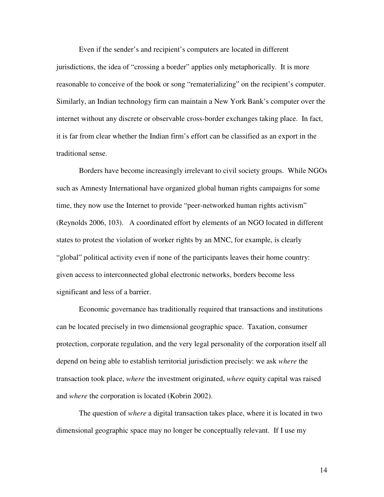Even if the sender's and recipient's computers are located in different

jurisdictions, the idea of "crossing a border" applies only metaphorically. It is more reasonable to conceive of the book or song "rematerializing" on the recipient's computer. Similarly, an Indian technology firm can maintain a New York Bank's computer over the internet without any discrete or observable cross-border exchanges taking place. In fact, it is far from clear whether the Indian firm's effort can be classified as an export in the traditional sense.

 Borders have become increasingly irrelevant to civil society groups. While NGOs such as Amnesty International have organized global human rights campaigns for some time, they now use the Internet to provide "peer-networked human rights activism" (Reynolds 2006, 103). A coordinated effort by elements of an NGO located in different states to protest the violation of worker rights by an MNC, for example, is clearly "global" political activity even if none of the participants leaves their home country: given access to interconnected global electronic networks, borders become less significant and less of a barrier.

 Economic governance has traditionally required that transactions and institutions can be located precisely in two dimensional geographic space. Taxation, consumer protection, corporate regulation, and the very legal personality of the corporation itself all depend on being able to establish territorial jurisdiction precisely: we ask *where* the transaction took place, *where* the investment originated, *where* equity capital was raised and *where* the corporation is located (Kobrin 2002).

 The question of *where* a digital transaction takes place, where it is located in two dimensional geographic space may no longer be conceptually relevant. If I use my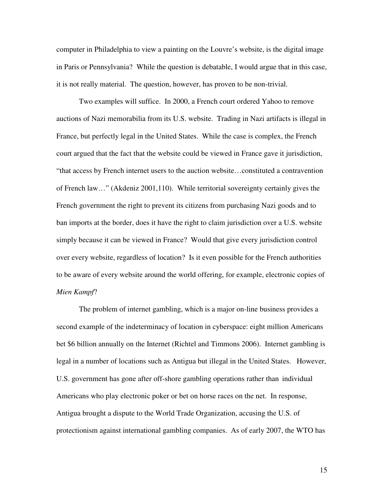computer in Philadelphia to view a painting on the Louvre's website, is the digital image in Paris or Pennsylvania? While the question is debatable, I would argue that in this case, it is not really material. The question, however, has proven to be non-trivial.

 Two examples will suffice. In 2000, a French court ordered Yahoo to remove auctions of Nazi memorabilia from its U.S. website. Trading in Nazi artifacts is illegal in France, but perfectly legal in the United States. While the case is complex, the French court argued that the fact that the website could be viewed in France gave it jurisdiction, "that access by French internet users to the auction website…constituted a contravention of French law…" (Akdeniz 2001,110). While territorial sovereignty certainly gives the French government the right to prevent its citizens from purchasing Nazi goods and to ban imports at the border, does it have the right to claim jurisdiction over a U.S. website simply because it can be viewed in France? Would that give every jurisdiction control over every website, regardless of location? Is it even possible for the French authorities to be aware of every website around the world offering, for example, electronic copies of *Mien Kampf*?

 The problem of internet gambling, which is a major on-line business provides a second example of the indeterminacy of location in cyberspace: eight million Americans bet \$6 billion annually on the Internet (Richtel and Timmons 2006). Internet gambling is legal in a number of locations such as Antigua but illegal in the United States. However, U.S. government has gone after off-shore gambling operations rather than individual Americans who play electronic poker or bet on horse races on the net. In response, Antigua brought a dispute to the World Trade Organization, accusing the U.S. of protectionism against international gambling companies. As of early 2007, the WTO has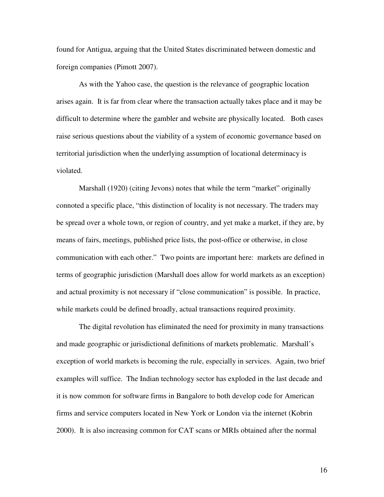found for Antigua, arguing that the United States discriminated between domestic and foreign companies (Pimott 2007).

 As with the Yahoo case, the question is the relevance of geographic location arises again. It is far from clear where the transaction actually takes place and it may be difficult to determine where the gambler and website are physically located. Both cases raise serious questions about the viability of a system of economic governance based on territorial jurisdiction when the underlying assumption of locational determinacy is violated.

 Marshall (1920) (citing Jevons) notes that while the term "market" originally connoted a specific place, "this distinction of locality is not necessary. The traders may be spread over a whole town, or region of country, and yet make a market, if they are, by means of fairs, meetings, published price lists, the post-office or otherwise, in close communication with each other." Two points are important here: markets are defined in terms of geographic jurisdiction (Marshall does allow for world markets as an exception) and actual proximity is not necessary if "close communication" is possible. In practice, while markets could be defined broadly, actual transactions required proximity.

 The digital revolution has eliminated the need for proximity in many transactions and made geographic or jurisdictional definitions of markets problematic. Marshall's exception of world markets is becoming the rule, especially in services. Again, two brief examples will suffice. The Indian technology sector has exploded in the last decade and it is now common for software firms in Bangalore to both develop code for American firms and service computers located in New York or London via the internet (Kobrin 2000). It is also increasing common for CAT scans or MRIs obtained after the normal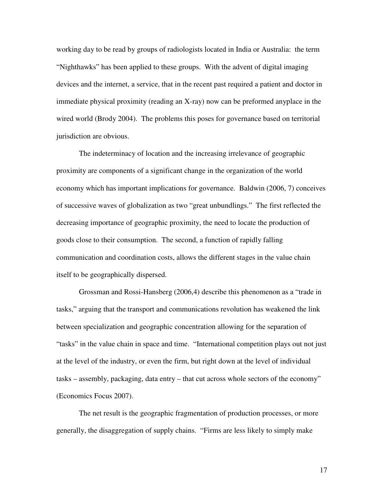working day to be read by groups of radiologists located in India or Australia: the term "Nighthawks" has been applied to these groups. With the advent of digital imaging devices and the internet, a service, that in the recent past required a patient and doctor in immediate physical proximity (reading an X-ray) now can be preformed anyplace in the wired world (Brody 2004). The problems this poses for governance based on territorial jurisdiction are obvious.

 The indeterminacy of location and the increasing irrelevance of geographic proximity are components of a significant change in the organization of the world economy which has important implications for governance. Baldwin (2006, 7) conceives of successive waves of globalization as two "great unbundlings." The first reflected the decreasing importance of geographic proximity, the need to locate the production of goods close to their consumption. The second, a function of rapidly falling communication and coordination costs, allows the different stages in the value chain itself to be geographically dispersed.

 Grossman and Rossi-Hansberg (2006,4) describe this phenomenon as a "trade in tasks," arguing that the transport and communications revolution has weakened the link between specialization and geographic concentration allowing for the separation of "tasks" in the value chain in space and time. "International competition plays out not just at the level of the industry, or even the firm, but right down at the level of individual tasks – assembly, packaging, data entry – that cut across whole sectors of the economy" (Economics Focus 2007).

 The net result is the geographic fragmentation of production processes, or more generally, the disaggregation of supply chains. "Firms are less likely to simply make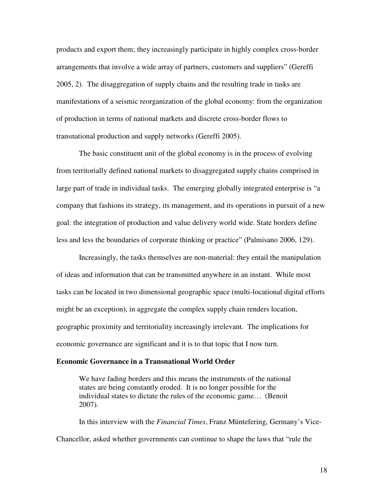products and export them; they increasingly participate in highly complex cross-border arrangements that involve a wide array of partners, customers and suppliers" (Gereffi 2005, 2). The disaggregation of supply chains and the resulting trade in tasks are manifestations of a seismic reorganization of the global economy: from the organization of production in terms of national markets and discrete cross-border flows to transnational production and supply networks (Gereffi 2005).

 The basic constituent unit of the global economy is in the process of evolving from territorially defined national markets to disaggregated supply chains comprised in large part of trade in individual tasks. The emerging globally integrated enterprise is "a company that fashions its strategy, its management, and its operations in pursuit of a new goal: the integration of production and value delivery world wide. State borders define less and less the boundaries of corporate thinking or practice" (Palmisano 2006, 129).

 Increasingly, the tasks themselves are non-material: they entail the manipulation of ideas and information that can be transmitted anywhere in an instant. While most tasks can be located in two dimensional geographic space (multi-locational digital efforts might be an exception), in aggregate the complex supply chain renders location, geographic proximity and territoriality increasingly irrelevant. The implications for economic governance are significant and it is to that topic that I now turn.

### **Economic Governance in a Transnational World Order**

We have fading borders and this means the instruments of the national states are being constantly eroded. It is no longer possible for the individual states to dictate the rules of the economic game… (Benoit 2007).

 In this interview with the *Financial Times*, Franz Müntefering, Germany's Vice-Chancellor, asked whether governments can continue to shape the laws that "rule the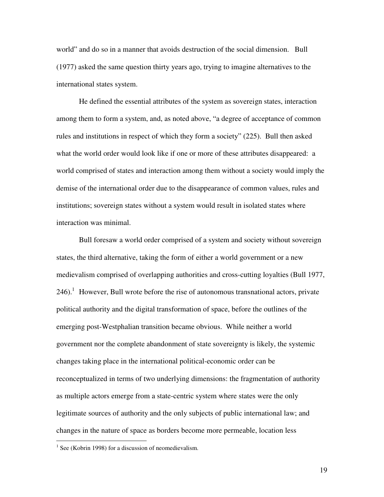world" and do so in a manner that avoids destruction of the social dimension. Bull (1977) asked the same question thirty years ago, trying to imagine alternatives to the international states system.

 He defined the essential attributes of the system as sovereign states, interaction among them to form a system, and, as noted above, "a degree of acceptance of common rules and institutions in respect of which they form a society" (225). Bull then asked what the world order would look like if one or more of these attributes disappeared: a world comprised of states and interaction among them without a society would imply the demise of the international order due to the disappearance of common values, rules and institutions; sovereign states without a system would result in isolated states where interaction was minimal.

 Bull foresaw a world order comprised of a system and society without sovereign states, the third alternative, taking the form of either a world government or a new medievalism comprised of overlapping authorities and cross-cutting loyalties (Bull 1977,  $246$ .<sup>1</sup> However, Bull wrote before the rise of autonomous transnational actors, private political authority and the digital transformation of space, before the outlines of the emerging post-Westphalian transition became obvious. While neither a world government nor the complete abandonment of state sovereignty is likely, the systemic changes taking place in the international political-economic order can be reconceptualized in terms of two underlying dimensions: the fragmentation of authority as multiple actors emerge from a state-centric system where states were the only legitimate sources of authority and the only subjects of public international law; and changes in the nature of space as borders become more permeable, location less

 $\overline{a}$ 

 $<sup>1</sup>$  See (Kobrin 1998) for a discussion of neomedievalism.</sup>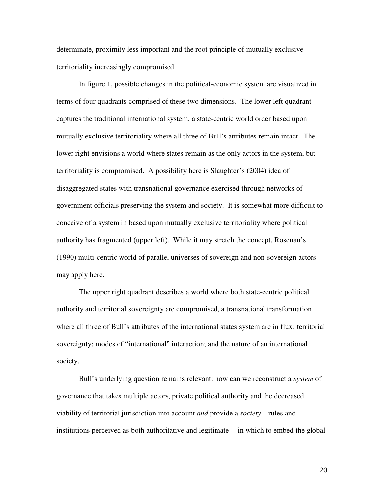determinate, proximity less important and the root principle of mutually exclusive territoriality increasingly compromised.

 In figure 1, possible changes in the political-economic system are visualized in terms of four quadrants comprised of these two dimensions. The lower left quadrant captures the traditional international system, a state-centric world order based upon mutually exclusive territoriality where all three of Bull's attributes remain intact. The lower right envisions a world where states remain as the only actors in the system, but territoriality is compromised. A possibility here is Slaughter's (2004) idea of disaggregated states with transnational governance exercised through networks of government officials preserving the system and society. It is somewhat more difficult to conceive of a system in based upon mutually exclusive territoriality where political authority has fragmented (upper left). While it may stretch the concept, Rosenau's (1990) multi-centric world of parallel universes of sovereign and non-sovereign actors may apply here.

 The upper right quadrant describes a world where both state-centric political authority and territorial sovereignty are compromised, a transnational transformation where all three of Bull's attributes of the international states system are in flux: territorial sovereignty; modes of "international" interaction; and the nature of an international society.

 Bull's underlying question remains relevant: how can we reconstruct a *system* of governance that takes multiple actors, private political authority and the decreased viability of territorial jurisdiction into account *and* provide a *society* – rules and institutions perceived as both authoritative and legitimate -- in which to embed the global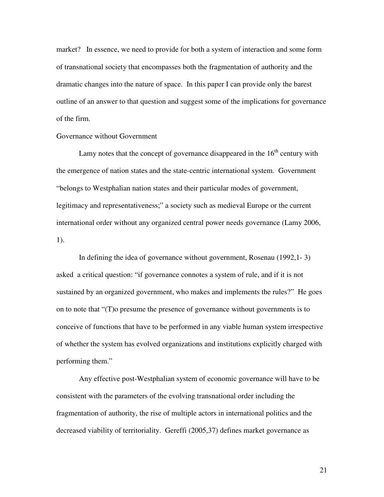market? In essence, we need to provide for both a system of interaction and some form of transnational society that encompasses both the fragmentation of authority and the dramatic changes into the nature of space. In this paper I can provide only the barest outline of an answer to that question and suggest some of the implications for governance of the firm.

# Governance without Government

Lamy notes that the concept of governance disappeared in the  $16<sup>th</sup>$  century with the emergence of nation states and the state-centric international system. Government "belongs to Westphalian nation states and their particular modes of government, legitimacy and representativeness;" a society such as medieval Europe or the current international order without any organized central power needs governance (Lamy 2006, 1).

 In defining the idea of governance without government, Rosenau (1992,1- 3) asked a critical question: "if governance connotes a system of rule, and if it is not sustained by an organized government, who makes and implements the rules?" He goes on to note that "(T)o presume the presence of governance without governments is to conceive of functions that have to be performed in any viable human system irrespective of whether the system has evolved organizations and institutions explicitly charged with performing them."

 Any effective post-Westphalian system of economic governance will have to be consistent with the parameters of the evolving transnational order including the fragmentation of authority, the rise of multiple actors in international politics and the decreased viability of territoriality. Gereffi (2005,37) defines market governance as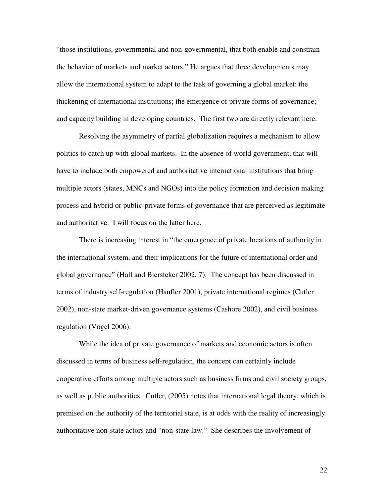"those institutions, governmental and non-governmental, that both enable and constrain the behavior of markets and market actors." He argues that three developments may allow the international system to adapt to the task of governing a global market: the thickening of international institutions; the emergence of private forms of governance; and capacity building in developing countries. The first two are directly relevant here.

 Resolving the asymmetry of partial globalization requires a mechanism to allow politics to catch up with global markets. In the absence of world government, that will have to include both empowered and authoritative international institutions that bring multiple actors (states, MNCs and NGOs) into the policy formation and decision making process and hybrid or public-private forms of governance that are perceived as legitimate and authoritative. I will focus on the latter here.

 There is increasing interest in "the emergence of private locations of authority in the international system, and their implications for the future of international order and global governance" (Hall and Biersteker 2002, 7). The concept has been discussed in terms of industry self-regulation (Haufler 2001), private international regimes (Cutler 2002), non-state market-driven governance systems (Cashore 2002), and civil business regulation (Vogel 2006).

 While the idea of private governance of markets and economic actors is often discussed in terms of business self-regulation, the concept can certainly include cooperative efforts among multiple actors such as business firms and civil society groups, as well as public authorities. Cutler, (2005) notes that international legal theory, which is premised on the authority of the territorial state, is at odds with the reality of increasingly authoritative non-state actors and "non-state law." She describes the involvement of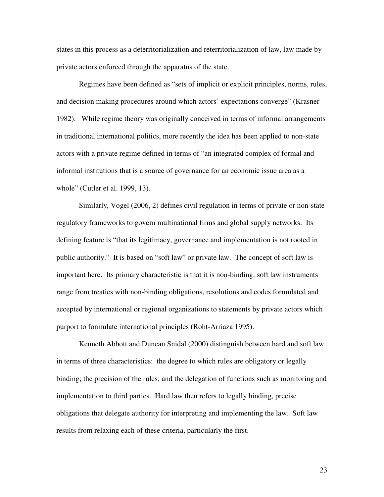states in this process as a deterritorialization and reterritorialization of law, law made by private actors enforced through the apparatus of the state.

 Regimes have been defined as "sets of implicit or explicit principles, norms, rules, and decision making procedures around which actors' expectations converge" (Krasner 1982). While regime theory was originally conceived in terms of informal arrangements in traditional international politics, more recently the idea has been applied to non-state actors with a private regime defined in terms of "an integrated complex of formal and informal institutions that is a source of governance for an economic issue area as a whole" (Cutler et al. 1999, 13).

 Similarly, Vogel (2006, 2) defines civil regulation in terms of private or non-state regulatory frameworks to govern multinational firms and global supply networks. Its defining feature is "that its legitimacy, governance and implementation is not rooted in public authority." It is based on "soft law" or private law. The concept of soft law is important here. Its primary characteristic is that it is non-binding: soft law instruments range from treaties with non-binding obligations, resolutions and codes formulated and accepted by international or regional organizations to statements by private actors which purport to formulate international principles (Roht-Arriaza 1995).

 Kenneth Abbott and Duncan Snidal (2000) distinguish between hard and soft law in terms of three characteristics: the degree to which rules are obligatory or legally binding; the precision of the rules; and the delegation of functions such as monitoring and implementation to third parties. Hard law then refers to legally binding, precise obligations that delegate authority for interpreting and implementing the law. Soft law results from relaxing each of these criteria, particularly the first.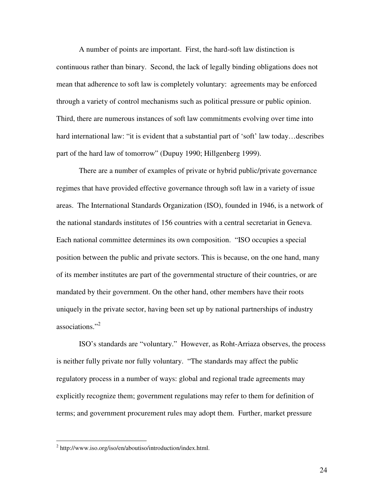A number of points are important. First, the hard-soft law distinction is continuous rather than binary. Second, the lack of legally binding obligations does not mean that adherence to soft law is completely voluntary: agreements may be enforced through a variety of control mechanisms such as political pressure or public opinion. Third, there are numerous instances of soft law commitments evolving over time into hard international law: "it is evident that a substantial part of 'soft' law today... describes part of the hard law of tomorrow" (Dupuy 1990; Hillgenberg 1999).

 There are a number of examples of private or hybrid public/private governance regimes that have provided effective governance through soft law in a variety of issue areas. The International Standards Organization (ISO), founded in 1946, is a network of the national standards institutes of 156 countries with a central secretariat in Geneva. Each national committee determines its own composition. "ISO occupies a special position between the public and private sectors. This is because, on the one hand, many of its member institutes are part of the governmental structure of their countries, or are mandated by their government. On the other hand, other members have their roots uniquely in the private sector, having been set up by national partnerships of industry associations."<sup>2</sup>

 ISO's standards are "voluntary." However, as Roht-Arriaza observes, the process is neither fully private nor fully voluntary. "The standards may affect the public regulatory process in a number of ways: global and regional trade agreements may explicitly recognize them; government regulations may refer to them for definition of terms; and government procurement rules may adopt them. Further, market pressure

 $\overline{a}$ 

<sup>&</sup>lt;sup>2</sup> http://www.iso.org/iso/en/aboutiso/introduction/index.html.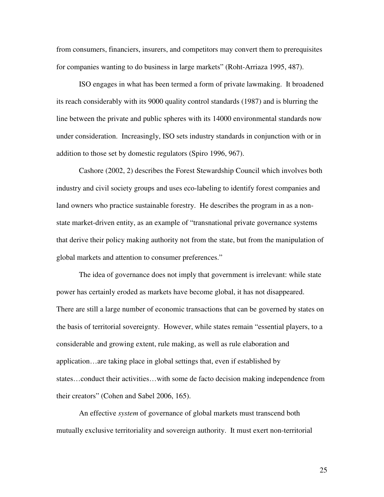from consumers, financiers, insurers, and competitors may convert them to prerequisites for companies wanting to do business in large markets" (Roht-Arriaza 1995, 487).

 ISO engages in what has been termed a form of private lawmaking. It broadened its reach considerably with its 9000 quality control standards (1987) and is blurring the line between the private and public spheres with its 14000 environmental standards now under consideration. Increasingly, ISO sets industry standards in conjunction with or in addition to those set by domestic regulators (Spiro 1996, 967).

 Cashore (2002, 2) describes the Forest Stewardship Council which involves both industry and civil society groups and uses eco-labeling to identify forest companies and land owners who practice sustainable forestry. He describes the program in as a nonstate market-driven entity, as an example of "transnational private governance systems that derive their policy making authority not from the state, but from the manipulation of global markets and attention to consumer preferences."

 The idea of governance does not imply that government is irrelevant: while state power has certainly eroded as markets have become global, it has not disappeared. There are still a large number of economic transactions that can be governed by states on the basis of territorial sovereignty. However, while states remain "essential players, to a considerable and growing extent, rule making, as well as rule elaboration and application…are taking place in global settings that, even if established by states…conduct their activities…with some de facto decision making independence from their creators" (Cohen and Sabel 2006, 165).

 An effective *system* of governance of global markets must transcend both mutually exclusive territoriality and sovereign authority. It must exert non-territorial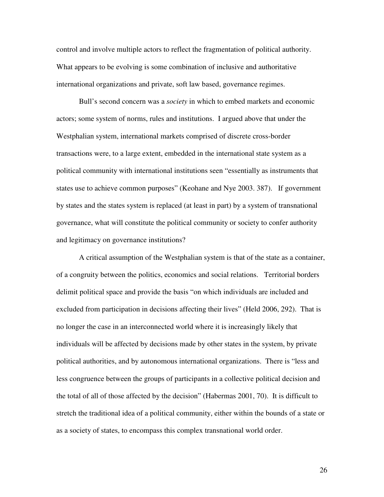control and involve multiple actors to reflect the fragmentation of political authority. What appears to be evolving is some combination of inclusive and authoritative international organizations and private, soft law based, governance regimes.

 Bull's second concern was a *society* in which to embed markets and economic actors; some system of norms, rules and institutions. I argued above that under the Westphalian system, international markets comprised of discrete cross-border transactions were, to a large extent, embedded in the international state system as a political community with international institutions seen "essentially as instruments that states use to achieve common purposes" (Keohane and Nye 2003. 387). If government by states and the states system is replaced (at least in part) by a system of transnational governance, what will constitute the political community or society to confer authority and legitimacy on governance institutions?

 A critical assumption of the Westphalian system is that of the state as a container, of a congruity between the politics, economics and social relations. Territorial borders delimit political space and provide the basis "on which individuals are included and excluded from participation in decisions affecting their lives" (Held 2006, 292). That is no longer the case in an interconnected world where it is increasingly likely that individuals will be affected by decisions made by other states in the system, by private political authorities, and by autonomous international organizations. There is "less and less congruence between the groups of participants in a collective political decision and the total of all of those affected by the decision" (Habermas 2001, 70). It is difficult to stretch the traditional idea of a political community, either within the bounds of a state or as a society of states, to encompass this complex transnational world order.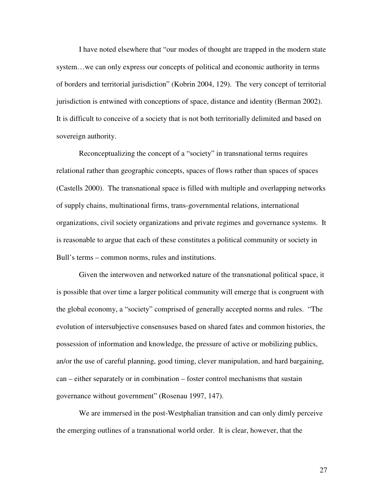I have noted elsewhere that "our modes of thought are trapped in the modern state system…we can only express our concepts of political and economic authority in terms of borders and territorial jurisdiction" (Kobrin 2004, 129). The very concept of territorial jurisdiction is entwined with conceptions of space, distance and identity (Berman 2002). It is difficult to conceive of a society that is not both territorially delimited and based on sovereign authority.

 Reconceptualizing the concept of a "society" in transnational terms requires relational rather than geographic concepts, spaces of flows rather than spaces of spaces (Castells 2000). The transnational space is filled with multiple and overlapping networks of supply chains, multinational firms, trans-governmental relations, international organizations, civil society organizations and private regimes and governance systems. It is reasonable to argue that each of these constitutes a political community or society in Bull's terms – common norms, rules and institutions.

 Given the interwoven and networked nature of the transnational political space, it is possible that over time a larger political community will emerge that is congruent with the global economy, a "society" comprised of generally accepted norms and rules. "The evolution of intersubjective consensuses based on shared fates and common histories, the possession of information and knowledge, the pressure of active or mobilizing publics, an/or the use of careful planning, good timing, clever manipulation, and hard bargaining, can – either separately or in combination – foster control mechanisms that sustain governance without government" (Rosenau 1997, 147).

 We are immersed in the post-Westphalian transition and can only dimly perceive the emerging outlines of a transnational world order. It is clear, however, that the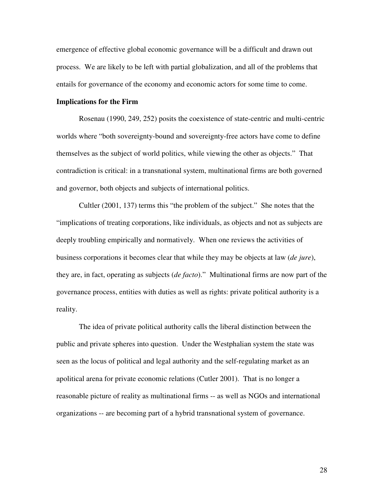emergence of effective global economic governance will be a difficult and drawn out process. We are likely to be left with partial globalization, and all of the problems that entails for governance of the economy and economic actors for some time to come.

#### **Implications for the Firm**

 Rosenau (1990, 249, 252) posits the coexistence of state-centric and multi-centric worlds where "both sovereignty-bound and sovereignty-free actors have come to define themselves as the subject of world politics, while viewing the other as objects." That contradiction is critical: in a transnational system, multinational firms are both governed and governor, both objects and subjects of international politics.

 Cultler (2001, 137) terms this "the problem of the subject." She notes that the "implications of treating corporations, like individuals, as objects and not as subjects are deeply troubling empirically and normatively. When one reviews the activities of business corporations it becomes clear that while they may be objects at law (*de jure*), they are, in fact, operating as subjects (*de facto*)." Multinational firms are now part of the governance process, entities with duties as well as rights: private political authority is a reality.

 The idea of private political authority calls the liberal distinction between the public and private spheres into question. Under the Westphalian system the state was seen as the locus of political and legal authority and the self-regulating market as an apolitical arena for private economic relations (Cutler 2001). That is no longer a reasonable picture of reality as multinational firms -- as well as NGOs and international organizations -- are becoming part of a hybrid transnational system of governance.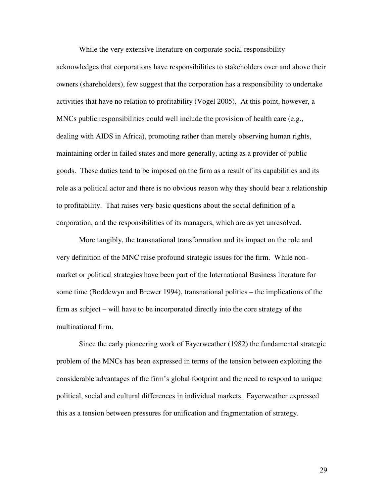While the very extensive literature on corporate social responsibility acknowledges that corporations have responsibilities to stakeholders over and above their owners (shareholders), few suggest that the corporation has a responsibility to undertake activities that have no relation to profitability (Vogel 2005). At this point, however, a MNCs public responsibilities could well include the provision of health care (e.g., dealing with AIDS in Africa), promoting rather than merely observing human rights, maintaining order in failed states and more generally, acting as a provider of public goods. These duties tend to be imposed on the firm as a result of its capabilities and its role as a political actor and there is no obvious reason why they should bear a relationship to profitability. That raises very basic questions about the social definition of a corporation, and the responsibilities of its managers, which are as yet unresolved.

 More tangibly, the transnational transformation and its impact on the role and very definition of the MNC raise profound strategic issues for the firm. While nonmarket or political strategies have been part of the International Business literature for some time (Boddewyn and Brewer 1994), transnational politics – the implications of the firm as subject – will have to be incorporated directly into the core strategy of the multinational firm.

 Since the early pioneering work of Fayerweather (1982) the fundamental strategic problem of the MNCs has been expressed in terms of the tension between exploiting the considerable advantages of the firm's global footprint and the need to respond to unique political, social and cultural differences in individual markets. Fayerweather expressed this as a tension between pressures for unification and fragmentation of strategy.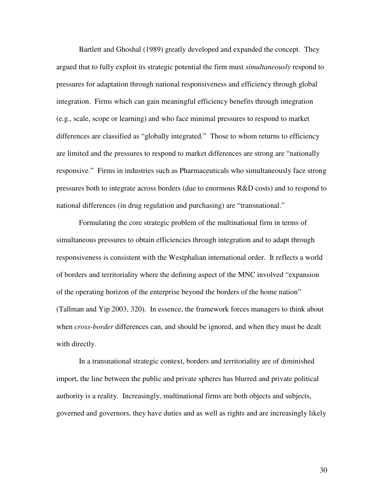Bartlett and Ghoshal (1989) greatly developed and expanded the concept. They argued that to fully exploit its strategic potential the firm must *simultaneously* respond to pressures for adaptation through national responsiveness and efficiency through global integration. Firms which can gain meaningful efficiency benefits through integration (e.g., scale, scope or learning) and who face minimal pressures to respond to market differences are classified as "globally integrated." Those to whom returns to efficiency are limited and the pressures to respond to market differences are strong are "nationally responsive." Firms in industries such as Pharmaceuticals who simultaneously face strong pressures both to integrate across borders (due to enormous R&D costs) and to respond to national differences (in drug regulation and purchasing) are "transnational."

 Formulating the core strategic problem of the multinational firm in terms of simultaneous pressures to obtain efficiencies through integration and to adapt through responsiveness is consistent with the Westphalian international order. It reflects a world of borders and territoriality where the defining aspect of the MNC involved "expansion of the operating horizon of the enterprise beyond the borders of the home nation" (Tallman and Yip 2003, 320). In essence, the framework forces managers to think about when *cross-border* differences can, and should be ignored, and when they must be dealt with directly.

 In a transnational strategic context, borders and territoriality are of diminished import, the line between the public and private spheres has blurred and private political authority is a reality. Increasingly, multinational firms are both objects and subjects, governed and governors, they have duties and as well as rights and are increasingly likely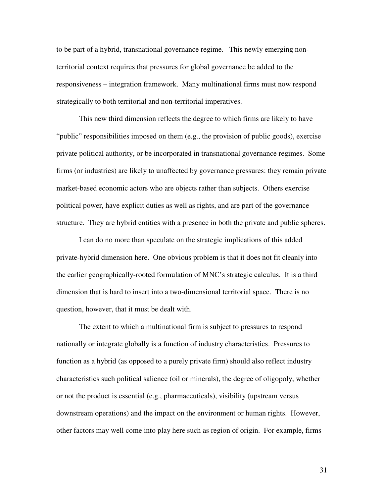to be part of a hybrid, transnational governance regime. This newly emerging nonterritorial context requires that pressures for global governance be added to the responsiveness – integration framework. Many multinational firms must now respond strategically to both territorial and non-territorial imperatives.

 This new third dimension reflects the degree to which firms are likely to have "public" responsibilities imposed on them (e.g., the provision of public goods), exercise private political authority, or be incorporated in transnational governance regimes. Some firms (or industries) are likely to unaffected by governance pressures: they remain private market-based economic actors who are objects rather than subjects. Others exercise political power, have explicit duties as well as rights, and are part of the governance structure. They are hybrid entities with a presence in both the private and public spheres.

 I can do no more than speculate on the strategic implications of this added private-hybrid dimension here. One obvious problem is that it does not fit cleanly into the earlier geographically-rooted formulation of MNC's strategic calculus. It is a third dimension that is hard to insert into a two-dimensional territorial space. There is no question, however, that it must be dealt with.

 The extent to which a multinational firm is subject to pressures to respond nationally or integrate globally is a function of industry characteristics. Pressures to function as a hybrid (as opposed to a purely private firm) should also reflect industry characteristics such political salience (oil or minerals), the degree of oligopoly, whether or not the product is essential (e.g., pharmaceuticals), visibility (upstream versus downstream operations) and the impact on the environment or human rights. However, other factors may well come into play here such as region of origin. For example, firms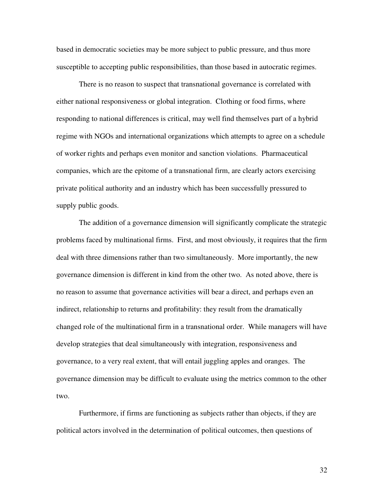based in democratic societies may be more subject to public pressure, and thus more susceptible to accepting public responsibilities, than those based in autocratic regimes.

 There is no reason to suspect that transnational governance is correlated with either national responsiveness or global integration. Clothing or food firms, where responding to national differences is critical, may well find themselves part of a hybrid regime with NGOs and international organizations which attempts to agree on a schedule of worker rights and perhaps even monitor and sanction violations. Pharmaceutical companies, which are the epitome of a transnational firm, are clearly actors exercising private political authority and an industry which has been successfully pressured to supply public goods.

 The addition of a governance dimension will significantly complicate the strategic problems faced by multinational firms. First, and most obviously, it requires that the firm deal with three dimensions rather than two simultaneously. More importantly, the new governance dimension is different in kind from the other two. As noted above, there is no reason to assume that governance activities will bear a direct, and perhaps even an indirect, relationship to returns and profitability: they result from the dramatically changed role of the multinational firm in a transnational order. While managers will have develop strategies that deal simultaneously with integration, responsiveness and governance, to a very real extent, that will entail juggling apples and oranges. The governance dimension may be difficult to evaluate using the metrics common to the other two.

 Furthermore, if firms are functioning as subjects rather than objects, if they are political actors involved in the determination of political outcomes, then questions of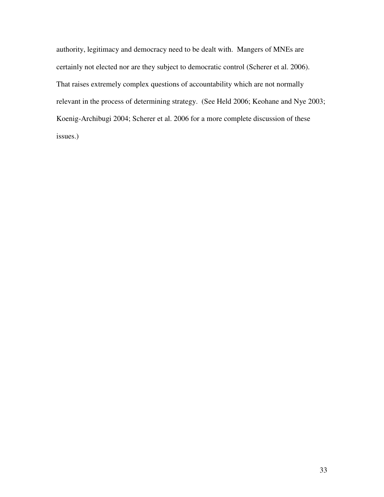authority, legitimacy and democracy need to be dealt with. Mangers of MNEs are certainly not elected nor are they subject to democratic control (Scherer et al. 2006). That raises extremely complex questions of accountability which are not normally relevant in the process of determining strategy. (See Held 2006; Keohane and Nye 2003; Koenig-Archibugi 2004; Scherer et al. 2006 for a more complete discussion of these issues.)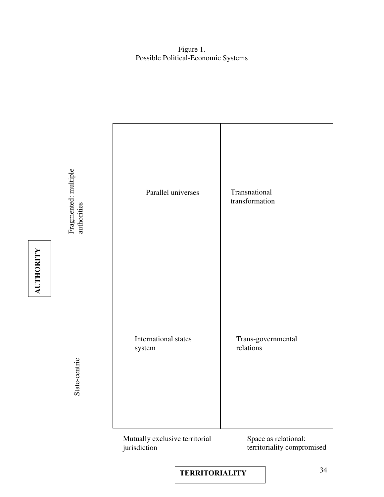Figure 1. Possible Political-Economic Systems



**AUTHORITY** 

**AUTHORITY** 

Mutually exclusive territorial jurisdiction

Space as relational: territoriality compromised

**TERRITORIALITY**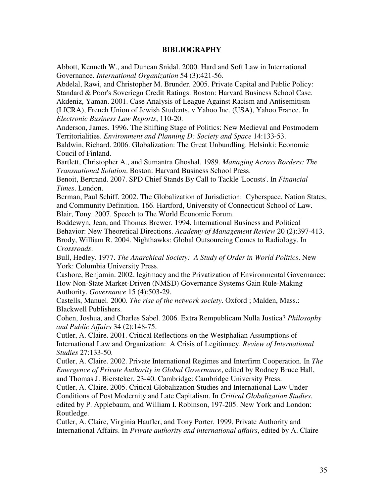## **BIBLIOGRAPHY**

Abbott, Kenneth W., and Duncan Snidal. 2000. Hard and Soft Law in International Governance. *International Organization* 54 (3):421-56.

Abdelal, Rawi, and Christopher M. Brunder. 2005. Private Capital and Public Policy: Standard & Poor's Soveriegn Credit Ratings. Boston: Harvard Business School Case. Akdeniz, Yaman. 2001. Case Analysis of League Against Racism and Antisemitism (LICRA), French Union of Jewish Students, v Yahoo Inc. (USA), Yahoo France. In *Electronic Business Law Reports*, 110-20.

Anderson, James. 1996. The Shifting Stage of Politics: New Medieval and Postmodern Territorialities. *Environment and Planning D: Society and Space* 14:133-53.

Baldwin, Richard. 2006. Globalization: The Great Unbundling. Helsinki: Economic Coucil of Finland.

Bartlett, Christopher A., and Sumantra Ghoshal. 1989. *Managing Across Borders: The Transnational Solution*. Boston: Harvard Business School Press.

Benoit, Bertrand. 2007. SPD Chief Stands By Call to Tackle 'Locusts'. In *Financial Times*. London.

Berman, Paul Schiff. 2002. The Globalization of Jurisdiction: Cyberspace, Nation States, and Community Definition. 166. Hartford, University of Connecticut School of Law. Blair, Tony. 2007. Speech to The World Economic Forum.

Boddewyn, Jean, and Thomas Brewer. 1994. International Business and Political Behavior: New Theoretical Directions. *Academy of Management Review* 20 (2):397-413. Brody, William R. 2004. Nighthawks: Global Outsourcing Comes to Radiology. In *Crossroads*.

Bull, Hedley. 1977. *The Anarchical Society: A Study of Order in World Politics*. New York: Columbia University Press.

Cashore, Benjamin. 2002. legitmacy and the Privatization of Environmental Governance: How Non-State Market-Driven (NMSD) Governance Systems Gain Rule-Making Authority. *Governance* 15 (4):503-29.

Castells, Manuel. 2000. *The rise of the network society*. Oxford ; Malden, Mass.: Blackwell Publishers.

Cohen, Joshua, and Charles Sabel. 2006. Extra Rempublicam Nulla Justica? *Philosophy and Public Affairs* 34 (2):148-75.

Cutler, A. Claire. 2001. Critical Reflections on the Westphalian Assumptions of International Law and Organization: A Crisis of Legitimacy. *Review of International Studies* 27:133-50.

Cutler, A. Claire. 2002. Private International Regimes and Interfirm Cooperation. In *The Emergence of Private Authority in Global Governance*, edited by Rodney Bruce Hall, and Thomas J. Biersteker, 23-40. Cambridge: Cambridge University Press.

Cutler, A. Claire. 2005. Critical Globalization Studies and International Law Under Conditions of Post Modernity and Late Capitalism. In *Critical Globalization Studies*, edited by P. Applebaum, and William I. Robinson, 197-205. New York and London: Routledge.

Cutler, A. Claire, Virginia Haufler, and Tony Porter. 1999. Private Authority and International Affairs. In *Private authority and international affairs*, edited by A. Claire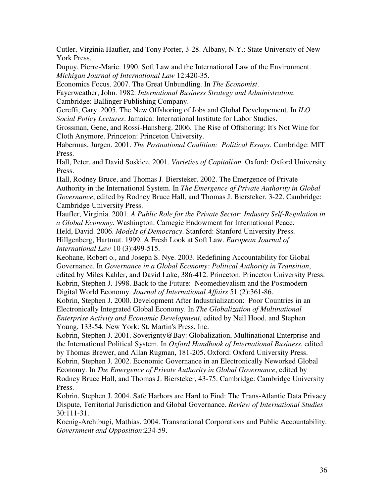Cutler, Virginia Haufler, and Tony Porter, 3-28. Albany, N.Y.: State University of New York Press.

Dupuy, Pierre-Marie. 1990. Soft Law and the International Law of the Environment. *Michigan Journal of International Law* 12:420-35.

Economics Focus. 2007. The Great Unbundling. In *The Economist*.

Fayerweather, John. 1982. *International Business Strategy and Administration*. Cambridge: Ballinger Publishing Company.

Gereffi, Gary. 2005. The New Offshoring of Jobs and Global Developement. In *ILO Social Policy Lectures*. Jamaica: International Institute for Labor Studies.

Grossman, Gene, and Rossi-Hansberg. 2006. The Rise of Offshoring: It's Not Wine for Cloth Anymore. Princeton: Princeton University.

Habermas, Jurgen. 2001. *The Postnational Coalition: Political Essays*. Cambridge: MIT Press.

Hall, Peter, and David Soskice. 2001. *Varieties of Capitalism*. Oxford: Oxford University Press.

Hall, Rodney Bruce, and Thomas J. Biersteker. 2002. The Emergence of Private Authority in the International System. In *The Emergence of Private Authority in Global Governance*, edited by Rodney Bruce Hall, and Thomas J. Biersteker, 3-22. Cambridge: Cambridge University Press.

Haufler, Virginia. 2001. *A Public Role for the Private Sector: Industry Self-Regulation in a Global Economy*. Washington: Carnegie Endowment for International Peace. Held, David. 2006. *Models of Democracy*. Stanford: Stanford University Press.

Hillgenberg, Hartmut. 1999. A Fresh Look at Soft Law. *European Journal of International Law* 10 (3):499-515.

Keohane, Robert o., and Joseph S. Nye. 2003. Redefining Accountability for Global Governance. In *Governance in a Global Economy: Political Authority in Transition*, edited by Miles Kahler, and David Lake, 386-412. Princeton: Princeton University Press. Kobrin, Stephen J. 1998. Back to the Future: Neomedievalism and the Postmodern Digital World Economy. *Journal of International Affairs* 51 (2):361-86.

Kobrin, Stephen J. 2000. Development After Industrialization: Poor Countries in an Electronically Integrated Global Economy. In *The Globalization of Multinational Enterprise Activity and Economic Development*, edited by Neil Hood, and Stephen Young, 133-54. New York: St. Martin's Press, Inc.

Kobrin, Stephen J. 2001. Soverignty@Bay: Globalization, Multinational Enterprise and the International Political System. In *Oxford Handbook of International Business*, edited by Thomas Brewer, and Allan Rugman, 181-205. Oxford: Oxford University Press. Kobrin, Stephen J. 2002. Economic Governance in an Electronically Neworked Global Economy. In *The Emergence of Private Authority in Global Governance*, edited by

Rodney Bruce Hall, and Thomas J. Biersteker, 43-75. Cambridge: Cambridge University Press.

Kobrin, Stephen J. 2004. Safe Harbors are Hard to Find: The Trans-Atlantic Data Privacy Dispute, Territorial Jurisdiction and Global Governance. *Review of International Studies* 30:111-31.

Koenig-Archibugi, Mathias. 2004. Transnational Corporations and Public Accountability. *Government and Opposition*:234-59.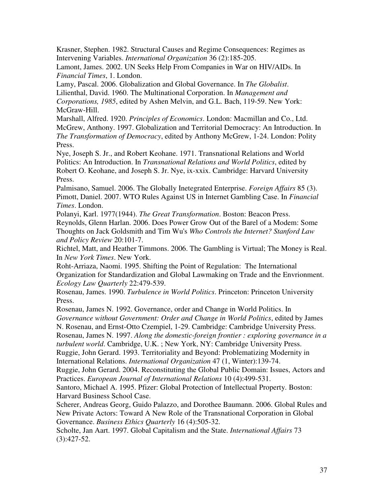Krasner, Stephen. 1982. Structural Causes and Regime Consequences: Regimes as Intervening Variables. *International Organization* 36 (2):185-205.

Lamont, James. 2002. UN Seeks Help From Companies in War on HIV/AIDs. In *Financial Times*, 1. London.

Lamy, Pascal. 2006. Globalization and Global Governance. In *The Globalist*. Lilienthal, David. 1960. The Multinational Corporation. In *Management and Corporations, 1985*, edited by Ashen Melvin, and G.L. Bach, 119-59. New York: McGraw-Hill.

Marshall, Alfred. 1920. *Principles of Economics*. London: Macmillan and Co., Ltd. McGrew, Anthony. 1997. Globalization and Territorial Democracy: An Introduction. In *The Transformation of Democracy*, edited by Anthony McGrew, 1-24. London: Polity Press.

Nye, Joseph S. Jr., and Robert Keohane. 1971. Transnational Relations and World Politics: An Introduction. In *Transnational Relations and World Politics*, edited by Robert O. Keohane, and Joseph S. Jr. Nye, ix-xxix. Cambridge: Harvard University Press.

Palmisano, Samuel. 2006. The Globally Inetegrated Enterprise. *Foreign Affairs* 85 (3). Pimott, Daniel. 2007. WTO Rules Against US in Internet Gambling Case. In *Financial Times*. London.

Polanyi, Karl. 1977(1944). *The Great Transformation*. Boston: Beacon Press. Reynolds, Glenn Harlan. 2006. Does Power Grow Out of the Barel of a Modem: Some Thoughts on Jack Goldsmith and Tim Wu's *Who Controls the Internet? Stanford Law and Policy Review* 20:101-7.

Richtel, Matt, and Heather Timmons. 2006. The Gambling is Virtual; The Money is Real. In *New York Times*. New York.

Roht-Arriaza, Naomi. 1995. Shifting the Point of Regulation: The International Organization for Standardization and Global Lawmaking on Trade and the Envrionment. *Ecology Law Quarterly* 22:479-539.

Rosenau, James. 1990. *Turbulence in World Politics*. Princeton: Princeton University Press.

Rosenau, James N. 1992. Governance, order and Change in World Politics. In *Governance without Government: Order and Change in World Politics*, edited by James

N. Rosenau, and Ernst-Otto Czempiel, 1-29. Cambridge: Cambridge University Press. Rosenau, James N. 1997. *Along the domestic-foreign frontier : exploring governance in a turbulent world*. Cambridge, U.K. ; New York, NY: Cambridge University Press. Ruggie, John Gerard. 1993. Territoriality and Beyond: Problematizing Modernity in

International Relations. *International Organization* 47 (1, Winter):139-74.

Ruggie, John Gerard. 2004. Reconstituting the Global Public Domain: Issues, Actors and Practices. *European Journal of International Relations* 10 (4):499-531.

Santoro, Michael A. 1995. Pfizer: Global Protection of Intellectual Property. Boston: Harvard Business School Case.

Scherer, Andreas Georg, Guido Palazzo, and Dorothee Baumann. 2006. Global Rules and New Private Actors: Toward A New Role of the Transnational Corporation in Global Governance. *Business Ethics Quarterly* 16 (4):505-32.

Scholte, Jan Aart. 1997. Global Capitalism and the State. *International Affairs* 73 (3):427-52.